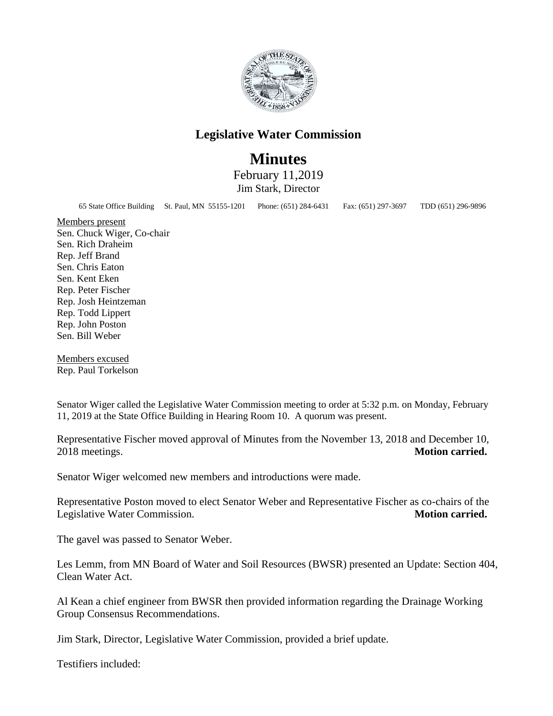

## **Legislative Water Commission**

## **Minutes**

February 11,2019 Jim Stark, Director

65 State Office Building St. Paul, MN 55155-1201 Phone: (651) 284-6431 Fax: (651) 297-3697 TDD (651) 296-9896

Members present Sen. Chuck Wiger, Co-chair Sen. Rich Draheim Rep. Jeff Brand Sen. Chris Eaton Sen. Kent Eken Rep. Peter Fischer Rep. Josh Heintzeman Rep. Todd Lippert Rep. John Poston Sen. Bill Weber

Members excused Rep. Paul Torkelson

Senator Wiger called the Legislative Water Commission meeting to order at 5:32 p.m. on Monday, February 11, 2019 at the State Office Building in Hearing Room 10. A quorum was present.

Representative Fischer moved approval of Minutes from the November 13, 2018 and December 10, 2018 meetings. **Motion carried.** 

Senator Wiger welcomed new members and introductions were made.

Representative Poston moved to elect Senator Weber and Representative Fischer as co-chairs of the Legislative Water Commission. **Motion carried.** 

The gavel was passed to Senator Weber.

Les Lemm, from MN Board of Water and Soil Resources (BWSR) presented an Update: Section 404, Clean Water Act.

Al Kean a chief engineer from BWSR then provided information regarding the Drainage Working Group Consensus Recommendations.

Jim Stark, Director, Legislative Water Commission, provided a brief update.

Testifiers included: